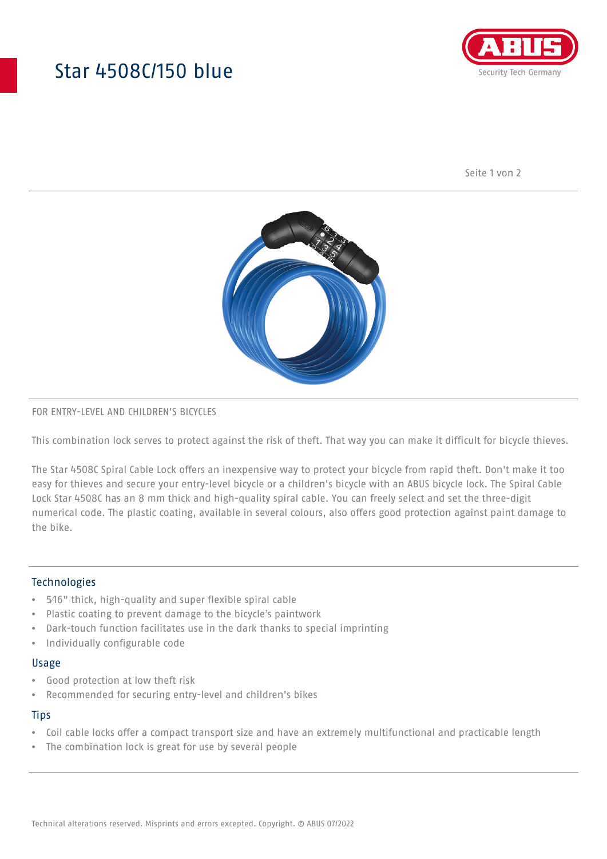# Star 4508C/150 blue



Seite 1 von 2



## FOR ENTRY-LEVEL AND CHILDREN'S BICYCLES

This combination lock serves to protect against the risk of theft. That way you can make it difficult for bicycle thieves.

The Star 4508C Spiral Cable Lock offers an inexpensive way to protect your bicycle from rapid theft. Don't make it too easy for thieves and secure your entry-level bicycle or a children's bicycle with an ABUS bicycle lock. The Spiral Cable Lock Star 4508C has an 8 mm thick and high-quality spiral cable. You can freely select and set the three-digit numerical code. The plastic coating, available in several colours, also offers good protection against paint damage to the bike.

# Technologies

- 5⁄16" thick, high-quality and super flexible spiral cable
- Plastic coating to prevent damage to the bicycle's paintwork
- Dark-touch function facilitates use in the dark thanks to special imprinting
- Individually configurable code

#### Usage

- Good protection at low theft risk
- Recommended for securing entry-level and children's bikes

### **Tips**

- Coil cable locks offer a compact transport size and have an extremely multifunctional and practicable length
- The combination lock is great for use by several people